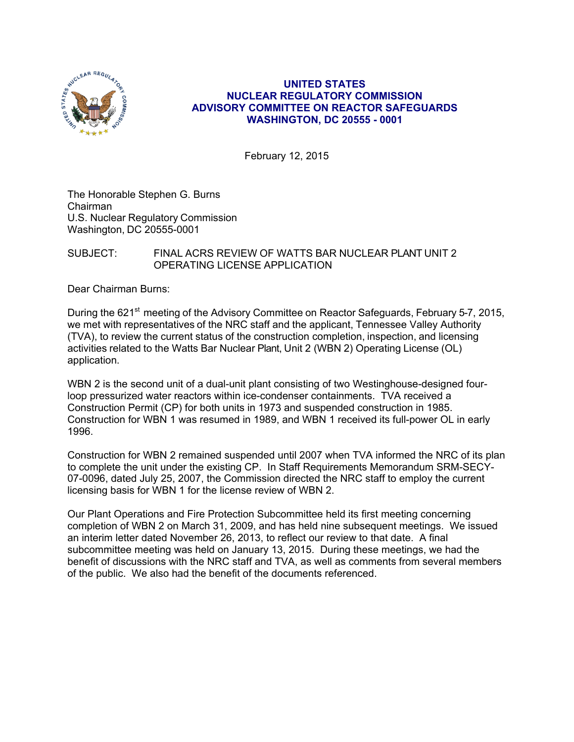

# **UNITED STATES NUCLEAR REGULATORY COMMISSION ADVISORY COMMITTEE ON REACTOR SAFEGUARDS WASHINGTON, DC 20555 - 0001**

February 12, 2015

The Honorable Stephen G. Burns Chairman U.S. Nuclear Regulatory Commission Washington, DC 20555-0001

# SUBJECT: FINAL ACRS REVIEW OF WATTS BAR NUCLEAR PLANT UNIT 2 OPERATING LICENSE APPLICATION

Dear Chairman Burns:

During the 621<sup>st</sup> meeting of the Advisory Committee on Reactor Safeguards, February 5-7, 2015, we met with representatives of the NRC staff and the applicant, Tennessee Valley Authority (TVA), to review the current status of the construction completion, inspection, and licensing activities related to the Watts Bar Nuclear Plant, Unit 2 (WBN 2) Operating License (OL) application.

WBN 2 is the second unit of a dual-unit plant consisting of two Westinghouse-designed fourloop pressurized water reactors within ice-condenser containments. TVA received a Construction Permit (CP) for both units in 1973 and suspended construction in 1985. Construction for WBN 1 was resumed in 1989, and WBN 1 received its full-power OL in early 1996.

Construction for WBN 2 remained suspended until 2007 when TVA informed the NRC of its plan to complete the unit under the existing CP. In Staff Requirements Memorandum SRM-SECY-07-0096, dated July 25, 2007, the Commission directed the NRC staff to employ the current licensing basis for WBN 1 for the license review of WBN 2.

Our Plant Operations and Fire Protection Subcommittee held its first meeting concerning completion of WBN 2 on March 31, 2009, and has held nine subsequent meetings. We issued an interim letter dated November 26, 2013, to reflect our review to that date. A final subcommittee meeting was held on January 13, 2015. During these meetings, we had the benefit of discussions with the NRC staff and TVA, as well as comments from several members of the public. We also had the benefit of the documents referenced.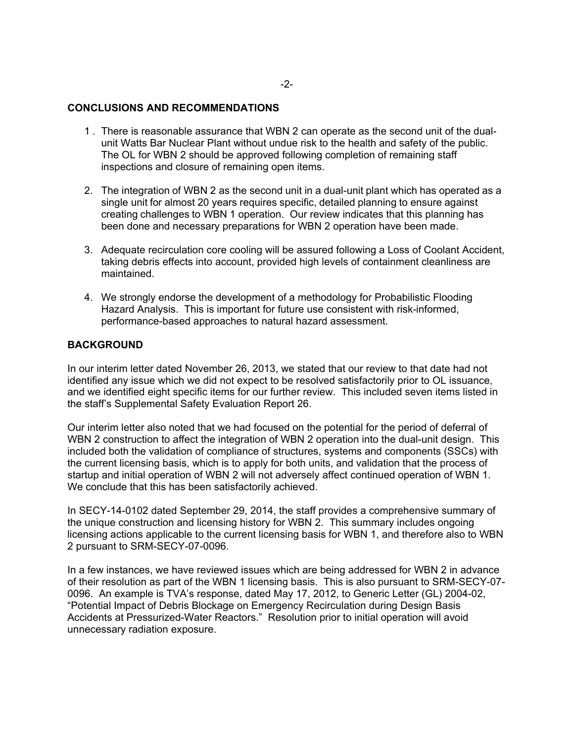### **CONCLUSIONS AND RECOMMENDATIONS**

- 1 . There is reasonable assurance that WBN 2 can operate as the second unit of the dualunit Watts Bar Nuclear Plant without undue risk to the health and safety of the public. The OL for WBN 2 should be approved following completion of remaining staff inspections and closure of remaining open items.
- 2. The integration of WBN 2 as the second unit in a dual-unit plant which has operated as a single unit for almost 20 years requires specific, detailed planning to ensure against creating challenges to WBN 1 operation. Our review indicates that this planning has been done and necessary preparations for WBN 2 operation have been made.
- 3. Adequate recirculation core cooling will be assured following a Loss of Coolant Accident, taking debris effects into account, provided high levels of containment cleanliness are maintained.
- 4. We strongly endorse the development of a methodology for Probabilistic Flooding Hazard Analysis. This is important for future use consistent with risk-informed, performance-based approaches to natural hazard assessment.

# **BACKGROUND**

In our interim letter dated November 26, 2013, we stated that our review to that date had not identified any issue which we did not expect to be resolved satisfactorily prior to OL issuance, and we identified eight specific items for our further review. This included seven items listed in the staff's Supplemental Safety Evaluation Report 26.

Our interim letter also noted that we had focused on the potential for the period of deferral of WBN 2 construction to affect the integration of WBN 2 operation into the dual-unit design. This included both the validation of compliance of structures, systems and components (SSCs) with the current licensing basis, which is to apply for both units, and validation that the process of startup and initial operation of WBN 2 will not adversely affect continued operation of WBN 1. We conclude that this has been satisfactorily achieved.

In SECY-14-0102 dated September 29, 2014, the staff provides a comprehensive summary of the unique construction and licensing history for WBN 2. This summary includes ongoing licensing actions applicable to the current licensing basis for WBN 1, and therefore also to WBN 2 pursuant to SRM-SECY-07-0096.

In a few instances, we have reviewed issues which are being addressed for WBN 2 in advance of their resolution as part of the WBN 1 licensing basis. This is also pursuant to SRM-SECY-07- 0096. An example is TVA's response, dated May 17, 2012, to Generic Letter (GL) 2004-02, "Potential Impact of Debris Blockage on Emergency Recirculation during Design Basis Accidents at Pressurized-Water Reactors." Resolution prior to initial operation will avoid unnecessary radiation exposure.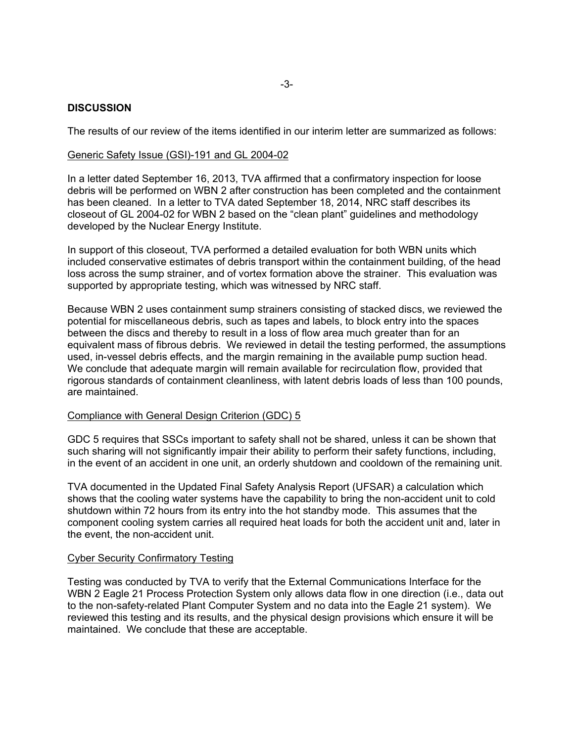### **DISCUSSION**

The results of our review of the items identified in our interim letter are summarized as follows:

### Generic Safety Issue (GSI)-191 and GL 2004-02

In a letter dated September 16, 2013, TVA affirmed that a confirmatory inspection for loose debris will be performed on WBN 2 after construction has been completed and the containment has been cleaned. In a letter to TVA dated September 18, 2014, NRC staff describes its closeout of GL 2004-02 for WBN 2 based on the "clean plant" guidelines and methodology developed by the Nuclear Energy Institute.

In support of this closeout, TVA performed a detailed evaluation for both WBN units which included conservative estimates of debris transport within the containment building, of the head loss across the sump strainer, and of vortex formation above the strainer. This evaluation was supported by appropriate testing, which was witnessed by NRC staff.

Because WBN 2 uses containment sump strainers consisting of stacked discs, we reviewed the potential for miscellaneous debris, such as tapes and labels, to block entry into the spaces between the discs and thereby to result in a loss of flow area much greater than for an equivalent mass of fibrous debris. We reviewed in detail the testing performed, the assumptions used, in-vessel debris effects, and the margin remaining in the available pump suction head. We conclude that adequate margin will remain available for recirculation flow, provided that rigorous standards of containment cleanliness, with latent debris loads of less than 100 pounds, are maintained.

#### Compliance with General Design Criterion (GDC) 5

GDC 5 requires that SSCs important to safety shall not be shared, unless it can be shown that such sharing will not significantly impair their ability to perform their safety functions, including, in the event of an accident in one unit, an orderly shutdown and cooldown of the remaining unit.

TVA documented in the Updated Final Safety Analysis Report (UFSAR) a calculation which shows that the cooling water systems have the capability to bring the non-accident unit to cold shutdown within 72 hours from its entry into the hot standby mode. This assumes that the component cooling system carries all required heat loads for both the accident unit and, later in the event, the non-accident unit.

#### Cyber Security Confirmatory Testing

Testing was conducted by TVA to verify that the External Communications Interface for the WBN 2 Eagle 21 Process Protection System only allows data flow in one direction (i.e., data out to the non-safety-related Plant Computer System and no data into the Eagle 21 system). We reviewed this testing and its results, and the physical design provisions which ensure it will be maintained. We conclude that these are acceptable.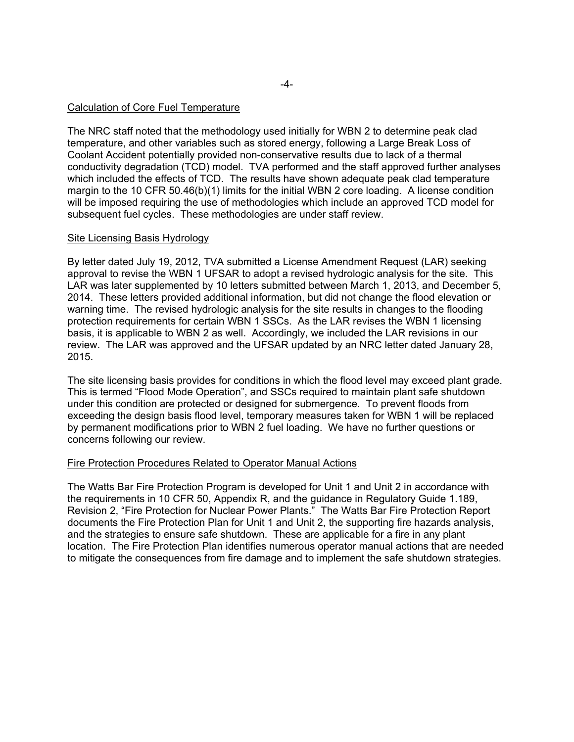### Calculation of Core Fuel Temperature

The NRC staff noted that the methodology used initially for WBN 2 to determine peak clad temperature, and other variables such as stored energy, following a Large Break Loss of Coolant Accident potentially provided non-conservative results due to lack of a thermal conductivity degradation (TCD) model. TVA performed and the staff approved further analyses which included the effects of TCD. The results have shown adequate peak clad temperature margin to the 10 CFR 50.46(b)(1) limits for the initial WBN 2 core loading. A license condition will be imposed requiring the use of methodologies which include an approved TCD model for subsequent fuel cycles. These methodologies are under staff review.

### Site Licensing Basis Hydrology

By letter dated July 19, 2012, TVA submitted a License Amendment Request (LAR) seeking approval to revise the WBN 1 UFSAR to adopt a revised hydrologic analysis for the site. This LAR was later supplemented by 10 letters submitted between March 1, 2013, and December 5, 2014. These letters provided additional information, but did not change the flood elevation or warning time. The revised hydrologic analysis for the site results in changes to the flooding protection requirements for certain WBN 1 SSCs. As the LAR revises the WBN 1 licensing basis, it is applicable to WBN 2 as well. Accordingly, we included the LAR revisions in our review. The LAR was approved and the UFSAR updated by an NRC letter dated January 28, 2015.

The site licensing basis provides for conditions in which the flood level may exceed plant grade. This is termed "Flood Mode Operation", and SSCs required to maintain plant safe shutdown under this condition are protected or designed for submergence. To prevent floods from exceeding the design basis flood level, temporary measures taken for WBN 1 will be replaced by permanent modifications prior to WBN 2 fuel loading. We have no further questions or concerns following our review.

### Fire Protection Procedures Related to Operator Manual Actions

The Watts Bar Fire Protection Program is developed for Unit 1 and Unit 2 in accordance with the requirements in 10 CFR 50, Appendix R, and the guidance in Regulatory Guide 1.189, Revision 2, "Fire Protection for Nuclear Power Plants." The Watts Bar Fire Protection Report documents the Fire Protection Plan for Unit 1 and Unit 2, the supporting fire hazards analysis, and the strategies to ensure safe shutdown. These are applicable for a fire in any plant location. The Fire Protection Plan identifies numerous operator manual actions that are needed to mitigate the consequences from fire damage and to implement the safe shutdown strategies.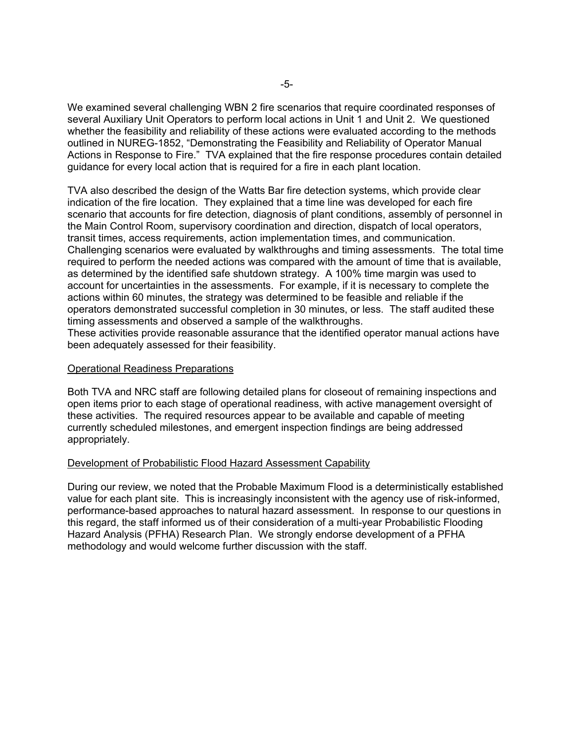We examined several challenging WBN 2 fire scenarios that require coordinated responses of several Auxiliary Unit Operators to perform local actions in Unit 1 and Unit 2. We questioned whether the feasibility and reliability of these actions were evaluated according to the methods outlined in NUREG-1852, "Demonstrating the Feasibility and Reliability of Operator Manual Actions in Response to Fire." TVA explained that the fire response procedures contain detailed guidance for every local action that is required for a fire in each plant location.

TVA also described the design of the Watts Bar fire detection systems, which provide clear indication of the fire location. They explained that a time line was developed for each fire scenario that accounts for fire detection, diagnosis of plant conditions, assembly of personnel in the Main Control Room, supervisory coordination and direction, dispatch of local operators, transit times, access requirements, action implementation times, and communication. Challenging scenarios were evaluated by walkthroughs and timing assessments. The total time required to perform the needed actions was compared with the amount of time that is available, as determined by the identified safe shutdown strategy. A 100% time margin was used to account for uncertainties in the assessments. For example, if it is necessary to complete the actions within 60 minutes, the strategy was determined to be feasible and reliable if the operators demonstrated successful completion in 30 minutes, or less. The staff audited these timing assessments and observed a sample of the walkthroughs.

These activities provide reasonable assurance that the identified operator manual actions have been adequately assessed for their feasibility.

### Operational Readiness Preparations

Both TVA and NRC staff are following detailed plans for closeout of remaining inspections and open items prior to each stage of operational readiness, with active management oversight of these activities. The required resources appear to be available and capable of meeting currently scheduled milestones, and emergent inspection findings are being addressed appropriately.

#### Development of Probabilistic Flood Hazard Assessment Capability

During our review, we noted that the Probable Maximum Flood is a deterministically established value for each plant site. This is increasingly inconsistent with the agency use of risk-informed, performance-based approaches to natural hazard assessment. In response to our questions in this regard, the staff informed us of their consideration of a multi-year Probabilistic Flooding Hazard Analysis (PFHA) Research Plan. We strongly endorse development of a PFHA methodology and would welcome further discussion with the staff.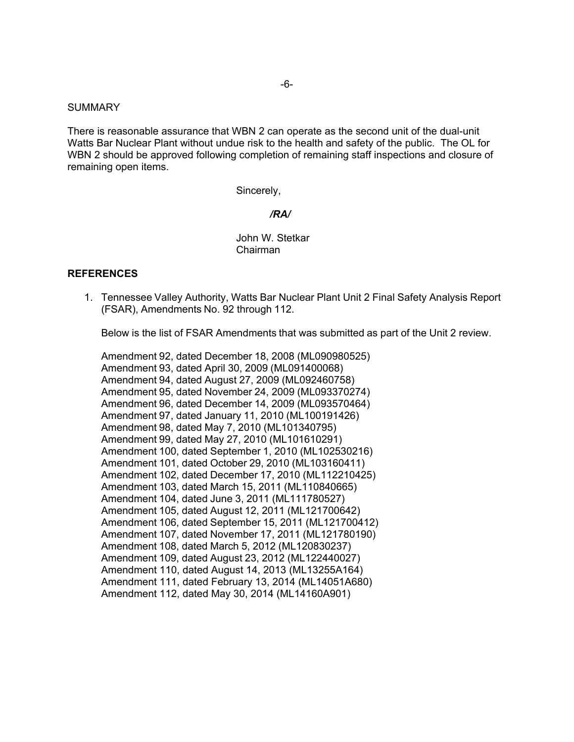#### **SUMMARY**

There is reasonable assurance that WBN 2 can operate as the second unit of the dual-unit Watts Bar Nuclear Plant without undue risk to the health and safety of the public. The OL for WBN 2 should be approved following completion of remaining staff inspections and closure of remaining open items.

Sincerely,

### */RA/*

# John W. Stetkar Chairman

### **REFERENCES**

1. Tennessee Valley Authority, Watts Bar Nuclear Plant Unit 2 Final Safety Analysis Report (FSAR), Amendments No. 92 through 112.

Below is the list of FSAR Amendments that was submitted as part of the Unit 2 review.

 Amendment 92, dated December 18, 2008 (ML090980525) Amendment 93, dated April 30, 2009 (ML091400068) Amendment 94, dated August 27, 2009 (ML092460758) Amendment 95, dated November 24, 2009 (ML093370274) Amendment 96, dated December 14, 2009 (ML093570464) Amendment 97, dated January 11, 2010 (ML100191426) Amendment 98, dated May 7, 2010 (ML101340795) Amendment 99, dated May 27, 2010 (ML101610291) Amendment 100, dated September 1, 2010 (ML102530216) Amendment 101, dated October 29, 2010 (ML103160411) Amendment 102, dated December 17, 2010 (ML112210425) Amendment 103, dated March 15, 2011 (ML110840665) Amendment 104, dated June 3, 2011 (ML111780527) Amendment 105, dated August 12, 2011 (ML121700642) Amendment 106, dated September 15, 2011 (ML121700412) Amendment 107, dated November 17, 2011 (ML121780190) Amendment 108, dated March 5, 2012 (ML120830237) Amendment 109, dated August 23, 2012 (ML122440027) Amendment 110, dated August 14, 2013 (ML13255A164) Amendment 111, dated February 13, 2014 (ML14051A680) Amendment 112, dated May 30, 2014 (ML14160A901)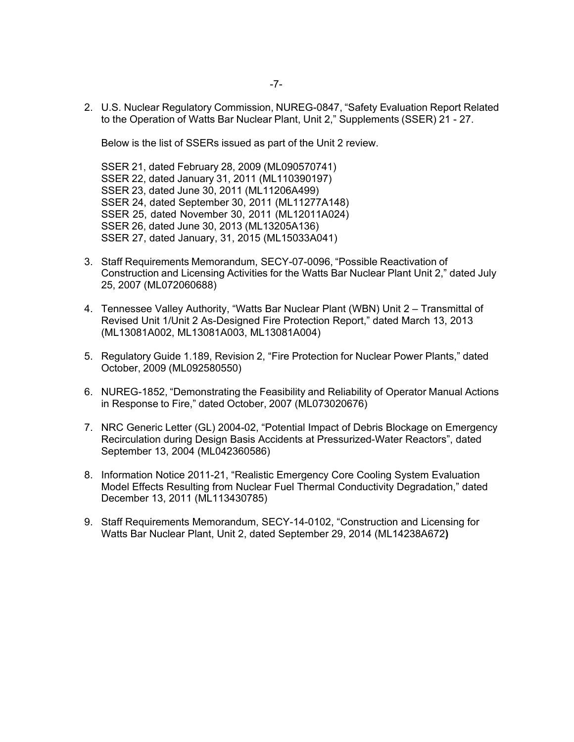2. U.S. Nuclear Regulatory Commission, NUREG-0847, "Safety Evaluation Report Related to the Operation of Watts Bar Nuclear Plant, Unit 2," Supplements (SSER) 21 - 27.

Below is the list of SSERs issued as part of the Unit 2 review.

SSER 21, dated February 28, 2009 (ML090570741) SSER 22, dated January 31, 2011 (ML110390197) SSER 23, dated June 30, 2011 (ML11206A499) SSER 24, dated September 30, 2011 (ML11277A148) SSER 25, dated November 30, 2011 (ML12011A024) SSER 26, dated June 30, 2013 (ML13205A136) SSER 27, dated January, 31, 2015 (ML15033A041)

- 3. Staff Requirements Memorandum, SECY-07-0096, "Possible Reactivation of Construction and Licensing Activities for the Watts Bar Nuclear Plant Unit 2," dated July 25, 2007 (ML072060688)
- 4. Tennessee Valley Authority, "Watts Bar Nuclear Plant (WBN) Unit 2 Transmittal of Revised Unit 1/Unit 2 As-Designed Fire Protection Report," dated March 13, 2013 (ML13081A002, ML13081A003, ML13081A004)
- 5. Regulatory Guide 1.189, Revision 2, "Fire Protection for Nuclear Power Plants," dated October, 2009 (ML092580550)
- 6. NUREG-1852, "Demonstrating the Feasibility and Reliability of Operator Manual Actions in Response to Fire," dated October, 2007 (ML073020676)
- 7. NRC Generic Letter (GL) 2004-02, "Potential Impact of Debris Blockage on Emergency Recirculation during Design Basis Accidents at Pressurized-Water Reactors", dated September 13, 2004 (ML042360586)
- 8. Information Notice 2011-21, "Realistic Emergency Core Cooling System Evaluation Model Effects Resulting from Nuclear Fuel Thermal Conductivity Degradation," dated December 13, 2011 (ML113430785)
- 9. Staff Requirements Memorandum, SECY-14-0102, "Construction and Licensing for Watts Bar Nuclear Plant, Unit 2, dated September 29, 2014 (ML14238A672**)**